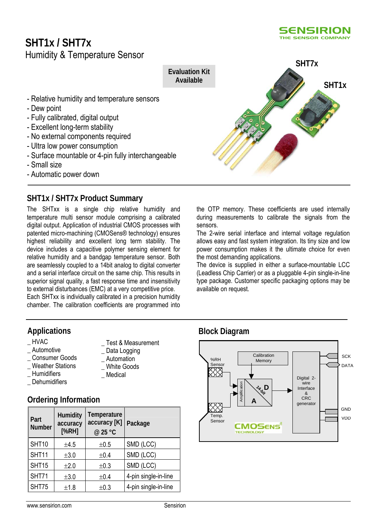# **SHT1x / SHT7x**



- Automatic power down

# **SHT1x / SHT7x Product Summary**

The SHTxx is a single chip relative humidity and temperature multi sensor module comprising a calibrated digital output. Application of industrial CMOS processes with patented micro-machining (CMOSens® technology) ensures highest reliability and excellent long term stability. The device includes a capacitive polymer sensing element for relative humidity and a bandgap temperature sensor. Both are seamlessly coupled to a 14bit analog to digital converter and a serial interface circuit on the same chip. This results in superior signal quality, a fast response time and insensitivity to external disturbances (EMC) at a very competitive price. Each SHTxx is individually calibrated in a precision humidity

chamber. The calibration coefficients are programmed into

# **Applications Block Diagram**

- 
- 
- 
- \_ Weather Stations<br>Humidifiers
- 
- **Dehumidifiers**

# **Ordering Information**

| Part<br><b>Number</b> | Humidity<br>accuracy<br>[%RH] | Temperature<br>accuracy [K]<br>@ 25 °C | Package              |
|-----------------------|-------------------------------|----------------------------------------|----------------------|
| SHT10                 | ±4.5                          | ±0.5                                   | SMD (LCC)            |
| SHT11                 | ±3.0                          | ±0.4                                   | SMD (LCC)            |
| SHT15                 | $\pm 2.0$                     | ±0.3                                   | SMD (LCC)            |
| SHT71                 | ±3.0                          | ±0.4                                   | 4-pin single-in-line |
| SHT75                 | ±1.8                          | ±0.3                                   | 4-pin single-in-line |

- \_ HVAC \_ Test & Measurement
	-
	-
	-
- 
- 
- 
- 

available on request.

the most demanding applications.

sensors.



the OTP memory. These coefficients are used internally during measurements to calibrate the signals from the

The 2-wire serial interface and internal voltage regulation allows easy and fast system integration. Its tiny size and low power consumption makes it the ultimate choice for even

The device is supplied in either a surface-mountable LCC (Leadless Chip Carrier) or as a pluggable 4-pin single-in-line type package. Customer specific packaging options may be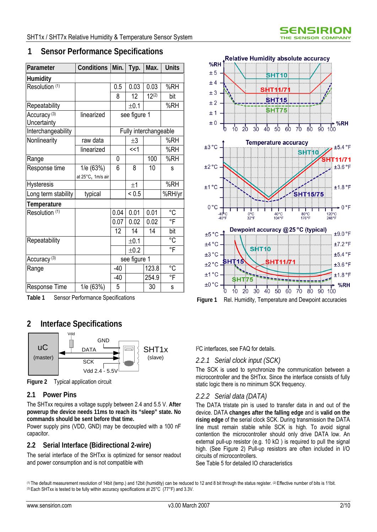| Parameter                              | Conditions                     | Min.  | Typ.                  | Max.       | <b>Units</b> |
|----------------------------------------|--------------------------------|-------|-----------------------|------------|--------------|
| <b>Humidity</b>                        |                                |       |                       |            |              |
| Resolution (1)                         |                                | 0.5   | 0.03                  | 0.03       | %RH          |
|                                        |                                | 8     | 12                    | $12^{(2)}$ | bit          |
| Repeatability                          |                                |       | ±0.1                  |            | %RH          |
| Accuracy <sup>(3)</sup><br>Uncertainty | linearized                     |       | see figure 1          |            |              |
| Interchangeability                     |                                |       | Fully interchangeable |            |              |
| Nonlinearity                           | raw data                       |       | $\pm 3$               |            | %RH          |
|                                        | linearized                     |       | <<1                   |            | %RH          |
| Range                                  |                                | 0     |                       | 100        | %RH          |
| Response time                          | 1/e (63%)<br>at 25°C, 1m/s air | 6     | 8                     | 10         | S            |
| <b>Hysteresis</b>                      |                                |       | ±1                    |            | %RH          |
| Long term stability                    | typical                        |       | ${}_{0.5}$            |            | %RH/yr       |
| Temperature                            |                                |       |                       |            |              |
| Resolution (1)                         |                                | 0.04  | 0.01                  | 0.01       | °C           |
|                                        |                                | 0.07  | 0.02                  | 0.02       | °F           |
|                                        |                                | 12    | 14                    | 14         | bit          |
| Repeatability                          |                                |       | ±0.1                  |            | °C           |
|                                        |                                |       | ±0.2                  |            | °F           |
| Accuracy <sup>(3)</sup>                |                                |       | see figure 1          |            |              |
| Range                                  |                                | $-40$ |                       | 123.8      | °C           |
|                                        |                                | $-40$ |                       | 254.9      | °F           |
| Response Time                          | 1/e (63%)                      | 5     |                       | 30         | S            |

# **1 Sensor Performance Specifications**

# **2 Interface Specifications**



**Figure 2** Typical application circuit

# **2.1 Power Pins**

The SHTxx requires a voltage supply between 2.4 and 5.5 V. **After powerup the device needs 11ms to reach its "sleep" state. No commands should be sent before that time.**

Power supply pins (VDD, GND) may be decoupled with a 100 nF capacitor.

# **2.2 Serial Interface (Bidirectional 2-wire)**

The serial interface of the SHTxx is optimized for sensor readout and power consumption and is not compatible with



I 2C interfaces, see FAQ for details.

# *2.2.1 Serial clock input (SCK)*

The SCK is used to synchronize the communication between a microcontroller and the SHTxx. Since the interface consists of fully static logic there is no minimum SCK frequency.

# *2.2.2 Serial data (DATA)*

The DATA tristate pin is used to transfer data in and out of the device. DATA **changes after the falling edge** and is **valid on the rising edge** of the serial clock SCK. During transmission the DATA line must remain stable while SCK is high. To avoid signal contention the microcontroller should only drive DATA low. An external pull-up resistor (e.g. 10 k $\Omega$ ) is required to pull the signal high. (See Figure 2) Pull-up resistors are often included in I/O circuits of microcontrollers.

See Table 5 for detailed IO characteristics

<sup>(1)</sup> The default measurement resolution of 14bit (temp.) and 12bit (humidity) can be reduced to 12 and 8 bit through the status register. (2) Effective number of bits is 11bit. (3) Each SHTxx is tested to be fully within accuracy specifications at 25°C (77°F) and 3.3V.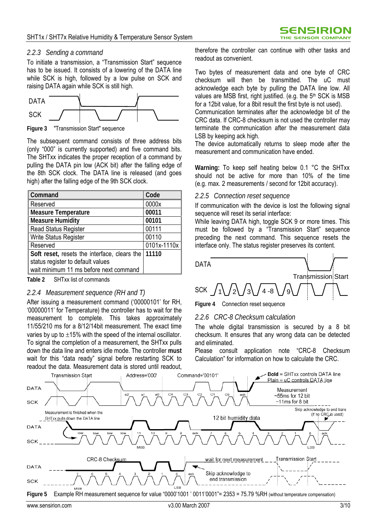### *2.2.3 Sending a command*

To initiate a transmission, a "Transmission Start" sequence has to be issued. It consists of a lowering of the DATA line while SCK is high, followed by a low pulse on SCK and raising DATA again while SCK is still high.



**Figure 3** "Transmission Start" sequence

The subsequent command consists of three address bits (only "000" is currently supported) and five command bits. The SHTxx indicates the proper reception of a command by pulling the DATA pin low (ACK bit) after the falling edge of the 8th SCK clock. The DATA line is released (and goes high) after the falling edge of the 9th SCK clock.

| <b>Command</b>                               | Code        |
|----------------------------------------------|-------------|
| Reserved                                     | 0000x       |
| <b>Measure Temperature</b>                   | 00011       |
| Measure Humidity                             | 00101       |
| <b>Read Status Register</b>                  | 00111       |
| <b>Write Status Register</b>                 | 00110       |
| Reserved                                     | 0101x-1110x |
| Soft reset, resets the interface, clears the | 11110       |
| status register to default values            |             |
| wait minimum 11 ms before next command       |             |

**Table 2** SHTxx list of commands

### *2.2.4 Measurement sequence (RH and T)*

After issuing a measurement command ('00000101' for RH, '00000011' for Temperature) the controller has to wait for the measurement to complete. This takes approximately 11/55/210 ms for a 8/12/14bit measurement. The exact time varies by up to  $\pm 15$ % with the speed of the internal oscillator. To signal the completion of a measurement, the SHTxx pulls down the data line and enters idle mode. The controller **must** wait for this "data ready" signal before restarting SCK to readout the data. Measurement data is stored until readout,

therefore the controller can continue with other tasks and readout as convenient.

Two bytes of measurement data and one byte of CRC checksum will then be transmitted. The uC must acknowledge each byte by pulling the DATA line low. All values are MSB first, right justified. (e.g. the 5<sup>th</sup> SCK is MSB for a 12bit value, for a 8bit result the first byte is not used).

Communication terminates after the acknowledge bit of the CRC data. If CRC-8 checksum is not used the controller may terminate the communication after the measurement data LSB by keeping ack high.

The device automatically returns to sleep mode after the measurement and communication have ended.

**Warning:** To keep self heating below 0.1 °C the SHTxx should not be active for more than 10% of the time (e.g. max. 2 measurements / second for 12bit accuracy).

### *2.2.5 Connection reset sequence*

If communication with the device is lost the following signal sequence will reset its serial interface:

While leaving DATA high, toggle SCK 9 or more times. This must be followed by a "Transmission Start" sequence preceding the next command. This sequence resets the interface only. The status register preserves its content.



**Figure 4** Connection reset sequence

### *2.2.6 CRC-8 Checksum calculation*

The whole digital transmission is secured by a 8 bit checksum. It ensures that any wrong data can be detected and eliminated.

Please consult application note "CRC-8 Checksum Calculation" for information on how to calculate the CRC.

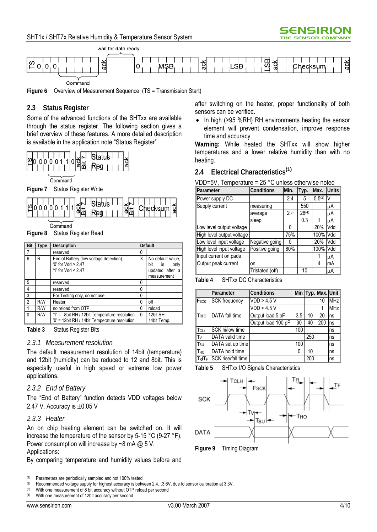



**Figure 6** Overview of Measurement Sequence (TS = Transmission Start)

# **2.3 Status Register**

Some of the advanced functions of the SHTxx are available through the status register. The following section gives a brief overview of these features. A more detailed description is available in the application note "Status Register"



Command

**Figure 7** Status Register Write



Command

**Figure 8** Status Register Read

| <b>Bit</b>     | <b>Type</b> | Default<br><b>Description</b>                                                                   |          |                                                                             |
|----------------|-------------|-------------------------------------------------------------------------------------------------|----------|-----------------------------------------------------------------------------|
| 7              |             | reserved                                                                                        | 0        |                                                                             |
| 6              | R           | End of Battery (low voltage detection)<br>$0'$ for Vdd > 2.47<br>'1' for $Vdd < 2.47$           |          | No default value.<br>bit<br>$i$ s<br>only<br>updated after a<br>measurement |
| 5              |             | reserved                                                                                        | $\Omega$ |                                                                             |
| $\overline{4}$ |             | reserved                                                                                        | 0        |                                                                             |
| 3              |             | For Testing only, do not use                                                                    | $\Omega$ |                                                                             |
| $\overline{2}$ | R/W         | Heater                                                                                          | n        | off                                                                         |
| $\overline{1}$ | R/W         | no reload from OTP                                                                              | 0        | reload                                                                      |
| $\mathbf{0}$   | R/W         | $'1' = 8bit RH / 12bit Temperature resolution$<br>'0' = 12bit RH / 14bit Temperature resolution | 0        | 12bit RH<br>14bit Temp.                                                     |

**Table 3** Status Register Bits

### *2.3.1 Measurement resolution*

The default measurement resolution of 14bit (temperature) and 12bit (humidity) can be reduced to 12 and 8bit. This is especially useful in high speed or extreme low power applications.

### *2.3.2 End of Battery*

The "End of Battery" function detects VDD voltages below 2.47 V. Accuracy is  $\pm 0.05$  V

### *2.3.3 Heater*

An on chip heating element can be switched on. It will increase the temperature of the sensor by 5-15 °C (9-27 °F). Power consumption will increase by  $\sim$ 8 mA  $\omega$  5 V.

### Applications:

By comparing temperature and humidity values before and

With one measurement of 12bit accuracy per second

after switching on the heater, proper functionality of both sensors can be verified.

• In high (>95 %RH) RH environments heating the sensor element will prevent condensation, improve response time and accuracy

**Warning:** While heated the SHTxx will show higher temperatures and a lower relative humidity than with no heating.

### **2.4 Electrical Characteristics(1)**

VDD=5V, Temperature = 25 °C unless otherwise noted

| Parameter                 | <b>Conditions</b> | Min. | Typ.       | Max.        | <b>Units</b> |
|---------------------------|-------------------|------|------------|-------------|--------------|
| Power supply DC           |                   | 2.4  | 5          | $5.5^{(2)}$ | V            |
| Supply current            | measuring         |      | 550        |             | μA           |
|                           | average           | 2(3) | $28^{(4)}$ |             | μA           |
|                           | sleep             |      | 0.3        |             | μA           |
| Low level output voltage  |                   | 0    |            | 20%         | Vdd          |
| High level output voltage |                   | 75%  |            | 100%        | Vdd          |
| Low level input voltage   | Negative going    | 0    |            | 20%         | Vdd          |
| High level input voltage  | Positive going    | 80%  |            | 100%        | Vdd          |
| Input current on pads     |                   |      |            |             | μA           |
| Output peak current       | on                |      |            | 4           | mA           |
|                           | Tristated (off)   |      | 10         |             | μA           |

**Table 4** SHTxx DC Characteristics

|                             | Parameter            | Conditions         |     |     | Min Typ. Max. Unit |            |
|-----------------------------|----------------------|--------------------|-----|-----|--------------------|------------|
| $\ F_{\text{SCK}}\ $        | <b>SCK</b> frequency | VDD > 4.5 V        |     |     | 10                 | MHz        |
|                             |                      | VDD < 4.5 V        |     |     |                    | <b>MHz</b> |
| T <sub>RFO</sub>            | DATA fall time       | Output load 5 pF   | 3.5 | 10  | 20                 | ns         |
|                             |                      | Output load 100 pF | 30  | 40  | 200                | ns         |
| $\mathsf{I}_{\mathsf{CLx}}$ | SCK hi/low time      |                    | 100 |     |                    | ns         |
| ∥T∨                         | DATA valid time      |                    |     | 250 |                    | ns         |
| $ T_{\textrm{SU}} $         | DATA set up time     |                    | 100 |     |                    | ns         |
| <b>T</b> <sub>HO</sub>      | DATA hold time       |                    | 0   | 10  |                    | ns         |
| $ T_R/T_F $                 | SCK rise/fall time   |                    |     | 200 |                    | ns         |

**Table 5** SHTxx I/O Signals Characteristics



**Figure 9** Timing Diagram

<sup>(1)</sup> Parameters are periodically sampled and not  $100\%$  tested (2) Pecommended voltage supply for bighest accuracy is between

<sup>(2)</sup> Recommended voltage supply for highest accuracy is between  $2.4...3.6V$ , due to sensor calibration at 3.3V.<br>(3) With one measurement of 8 bit accuracy without OTP reload per second

<sup>(3)</sup> With one measurement of 8 bit accuracy without OTP reload per second  $(4)$  With one measurement of 12bit accuracy per second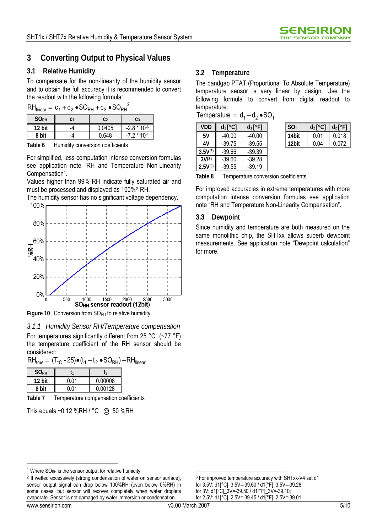# **3 Converting Output to Physical Values**

# **3.1 Relative Humidity 3.2 Temperature**

To compensate for the non-linearity of the humidity sensor and to obtain the full accuracy it is recommended to convert the readout with the following formula<sup>[1](#page-4-0)</sup>:

 $RH_{\text{linear}} = c_1+c_2 \cdot SO_{\text{PH}}+c_3 \cdot SO_{\text{PH}}^2$ 

| 1111941     | -  | .<br>ັ | .               |
|-------------|----|--------|-----------------|
| <b>SORH</b> | C1 | C2     | C <sub>3</sub>  |
| 12 bit      |    | 0.0405 | $*10-6$<br>-2.8 |
| 8 bit       |    | በ 648  | $7 * 10 - 4$    |

**Table 6** Humidity conversion coefficients

For simplified, less computation intense conversion formulas see application note "RH and Temperature Non-Linearity Compensation".

Values higher than 99% RH indicate fully saturated air and must be processed and displayed as 100%[2](#page-4-1) RH.

The humidity sensor has no significant voltage dependency. 100% 80% 60% **MPH** 40% 20%  $0%$ 500 1000 1500 2000 2500 3000 SORH sensor readout (12bit)

Figure 10 Conversion from SO<sub>RH</sub> to relative humidity

*3.1.1 Humidity Sensor RH/Temperature compensation*  For temperatures significantly different from 25 °C (~77 °F) the temperature coefficient of the RH sensor should be considered:

 $RH_{true} = (T_{\odot} - 25) \bullet (t_1 + t_2 \bullet SO_{RH}) + RH_{linear}$ 

| <b>SORH</b> | ٢1   | T٥      |
|-------------|------|---------|
| 12 bit      | በ በ1 | 0.00008 |
| 8 hit       | በ በ1 | 0.00128 |

**Table 7** Temperature compensation coefficients

This equals ~0.12 %RH / °C @ 50 %RH

The bandgap PTAT (Proportional To Absolute Temperature) temperature sensor is very linear by design. Use the following formula to convert from digital readout to temperature:

 $Temperature = d_1 + d_2 \cdot SO_T$ 

| <b>VDD</b>   | $d_1[^{\circ}C]$ | $d_1[^{\circ}F]$ | SO <sub>T</sub> | $d_2[^{\circ}C]$ | $d_2[^{\circ}F]$ |
|--------------|------------------|------------------|-----------------|------------------|------------------|
| 5٧           | $-40.00$         | $-40.00$         | 14bit           | 0.01             | 0.018            |
| 4V           | $-39.75$         | $-39.55$         | 12bit           | 0.04             | 0.072            |
| $3.5V^{(3)}$ | $-39.66$         | $-39.39$         |                 |                  |                  |
| $3V^{(3)}$   | $-39.60$         | $-39.28$         |                 |                  |                  |
| $2.5V^{(3)}$ | $-39.55$         | $-39.19$         |                 |                  |                  |

| SO <sub>T</sub> | $d_2[^{\circ}C]$   $d_2[^{\circ}F]$ |       |
|-----------------|-------------------------------------|-------|
| 14bit           | 0 01                                | 0.018 |
| 12bit           | 0.04                                | 0.072 |

**Table 8** Temperature conversion coefficients

For improved accuracies in extreme temperatures with more computation intense conversion formulas see application note "RH and Temperature Non-Linearity Compensation".

# **3.3 Dewpoint**

Since humidity and temperature are both measured on the same monolithic chip, the SHTxx allows superb dewpoint measurements. See application note "Dewpoint calculation" for more.

<span id="page-4-1"></span><sup>2</sup> If wetted excessively (strong condensation of water on sensor surface), sensor output signal can drop below 100%RH (even below 0%RH) in some cases, but sensor will recover completely when water droplets evaporate. Sensor is not damaged by water immersion or condensation.

l

.

3 For improved temperature accuracy with SHTxx-V4 set d1 for 3.5V: d1[°C]\_3.5V=-39.60 / d1[°F]\_3.5V=-39.28; for 3V: d1[°C]\_3V=-39.50 / d1[°F]\_3V=-39.10; for 2.5V: d1[°C]\_2.5V=-39.45 / d1[°F]\_2.5V=-39.01

<span id="page-4-0"></span><sup>&</sup>lt;sup>1</sup> Where  $S O_{RH}$  is the sensor output for relative humidity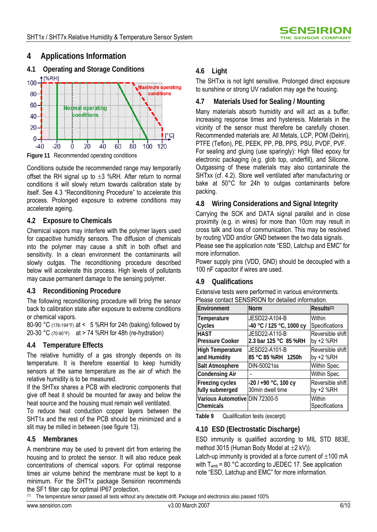# **4 Applications Information**



Conditions outside the recommended range may temporarily offset the RH signal up to  $\pm 3$  %RH. After return to normal conditions it will slowly return towards calibration state by itself. See 4.3 "Reconditioning Procedure" to accelerate this process. Prolonged exposure to extreme conditions may accelerate ageing. **4.8 Wiring Considerations and Signal Integrity** 

# **4.2 Exposure to Chemicals**

Chemical vapors may interfere with the polymer layers used for capacitive humidity sensors. The diffusion of chemicals into the polymer may cause a shift in both offset and sensitivity. In a clean environment the contaminants will slowly outgas. The reconditioning procedure described below will accelerate this process. High levels of pollutants may cause permanent damage to the sensing polymer.

The following reconditioning procedure will bring the sensor Please contact SENSIRION for detailed information. back to calibration state after exposure to extreme conditions or chemical vapors.

80-90 °C (176-194°F) at < 5 %RH for 24h (baking) followed by 20-30 °C (70-90°F) at > 74 %RH for 48h (re-hydration)

# **4.4 Temperature Effects**

The relative humidity of a gas strongly depends on its temperature. It is therefore essential to keep humidity sensors at the same temperature as the air of which the relative humidity is to be measured.

If the SHTxx shares a PCB with electronic components that give off heat it should be mounted far away and below the heat source and the housing must remain well ventilated.

To reduce heat conduction copper layers between the SHT1x and the rest of the PCB should be minimized and a slit may be milled in between (see figure 13).

# **4.5 Membranes**

A membrane may be used to prevent dirt from entering the housing and to protect the sensor. It will also reduce peak concentrations of chemical vapors. For optimal response times air volume behind the membrane must be kept to a minimum. For the SHT1x package Sensirion recommends the SF1 filter cap for optimal IP67 protection.

The SHTxx is not light sensitive. Prolonged direct exposure to sunshine or strong UV radiation may age the housing.

# **4.7 Materials Used for Sealing / Mounting**

Many materials absorb humidity and will act as a buffer, increasing response times and hysteresis. Materials in the vicinity of the sensor must therefore be carefully chosen. Recommended materials are: All Metals, LCP, POM (Delrin), PTFE (Teflon), PE, PEEK, PP, PB, PPS, PSU, PVDF, PVF. For sealing and gluing (use sparingly): High filled epoxy for electronic packaging (e.g. glob top, underfill), and Silicone. Outgassing of these materials may also contaminate the SHTxx (cf. 4.2). Store well ventilated after manufacturing or bake at 50°C for 24h to outgas contaminants before packing.

Carrying the SCK and DATA signal parallel and in close proximity (e.g. in wires) for more than 10cm may result in cross talk and loss of communication. This may be resolved by routing VDD and/or GND between the two data signals. Please see the application note "ESD, Latchup and EMC" for more information.

Power supply pins (VDD, GND) should be decoupled with a 100 nF capacitor if wires are used.

# **4.9 Qualifications**

**4.3 Reconditioning Procedure** Extensive tests were performed in various environments.

| Environment                                 | <b>Norm</b>              | Results <sup>(1)</sup>   |
|---------------------------------------------|--------------------------|--------------------------|
| Temperature                                 | JESD22-A104-B            | Within                   |
| Cycles                                      | -40 °C / 125 °C, 1000 cy | Specifications           |
| HAST                                        | JESD22-A110-B            | Reversible shift         |
| <b>Pressure Cooker</b>                      | 2.3 bar 125 °C 85 %RH    | by +2 %RH                |
| <b>High Temperature</b>                     | JESD22-A101-B            | Reversible shift         |
| and Humidity                                | 85 °C 85 %RH 1250h       | by +2 %RH                |
| Salt Atmosphere                             | DIN-50021ss              | Within Spec.             |
| <b>Condensing Air</b>                       |                          | Within Spec.             |
| Freezing cycles                             | $-20$ / $+90$ °C, 100 cy | Reversible shift         |
| fully submerged                             | 30min dwell time         | by +2 %RH                |
| Various Automotive DIN 72300-5<br>Chemicals |                          | Within<br>Specifications |

**Table 9** Qualification tests (excerpt)

# **4.10 ESD (Electrostatic Discharge)**

ESD immunity is qualified according to MIL STD 883E, method 3015 (Human Body Model at  $\pm 2$  kV)).

Latch-up immunity is provided at a force current of  $\pm 100$  mA with  $T_{amb}$  = 80 °C according to JEDEC 17. See application note "ESD, Latchup and EMC" for more information.

 $(1)$  The temperature sensor passed all tests without any detectable drift. Package and electronics also passed 100%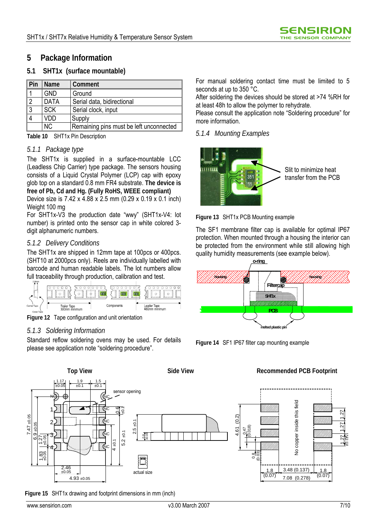# **5 Package Information**

# **5.1 SHT1x (surface mountable)**

| $\vert$ Pin    | Name        | Comment                                 |
|----------------|-------------|-----------------------------------------|
| $\overline{A}$ | <b>GND</b>  | Ground                                  |
| $\overline{2}$ | <b>DATA</b> | Serial data, bidirectional              |
| $\overline{3}$ | <b>SCK</b>  | Serial clock, input                     |
| $\overline{4}$ | VDD         | Supply                                  |
|                | NC.         | Remaining pins must be left unconnected |

**Table 10** SHT1x Pin Description

### *5.1.1 Package type*

The SHT1x is supplied in a surface-mountable LCC (Leadless Chip Carrier) type package. The sensors housing consists of a Liquid Crystal Polymer (LCP) cap with epoxy glob top on a standard 0.8 mm FR4 substrate. **The device is free of Pb, Cd and Hg. (Fully RoHS, WEEE compliant)**

Device size is 7.42 x 4.88 x 2.5 mm (0.29 x 0.19 x 0.1 inch) Weight 100 mg

For SHT1x-V3 the production date "wwy" (SHT1x-V4: lot number) is printed onto the sensor cap in white colored 3 digit alphanumeric numbers.

### *5.1.2 Delivery Conditions*

The SHT1x are shipped in 12mm tape at 100pcs or 400pcs. (SHT10 at 2000pcs only). Reels are individually labelled with barcode and human readable labels. The lot numbers allow full traceability through production, calibration and test.



**Figure 12** Tape configuration and unit orientation

### *5.1.3 Soldering Information*

Standard reflow soldering ovens may be used. For details please see application note "soldering procedure".

For manual soldering contact time must be limited to 5 seconds at up to 350 °C.

After soldering the devices should be stored at >74 %RH for at least 48h to allow the polymer to rehydrate.

Please consult the application note "Soldering procedure" for more information.

### *5.1.4 Mounting Examples*



Slit to minimize heat transfer from the PCB

**Figure 13** SHT1x PCB Mounting example

The SF1 membrane filter cap is available for optimal IP67 protection. When mounted through a housing the interior can be protected from the environment while still allowing high quality humidity measurements (see example below).



**Figure 14** SF1 IP67 filter cap mounting example



**Figure 15** SHT1x drawing and footprint dimensions in mm (inch)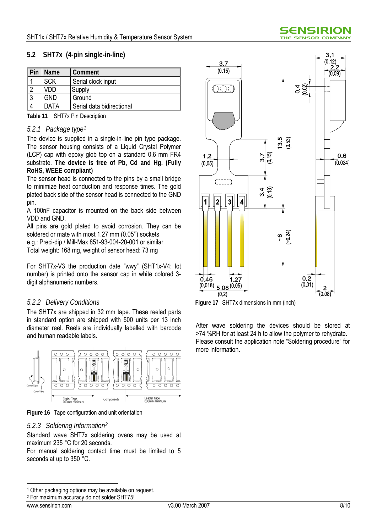### **5.2 SHT7x (4-pin single-in-line)**

| l Pin    | <b>Name</b> | Comment                   |  |
|----------|-------------|---------------------------|--|
|          | <b>SCK</b>  | Serial clock input        |  |
| $\Omega$ | חח/         | Supply                    |  |
| ാ        | GND         | Ground                    |  |
|          | DATA        | Serial data bidirectional |  |

**Table 11** SHT7x Pin Description

### *5.2.1 Package type[1](#page-7-0)*

The device is supplied in a single-in-line pin type package. The sensor housing consists of a Liquid Crystal Polymer (LCP) cap with epoxy glob top on a standard 0.6 mm FR4 substrate. **The device is free of Pb, Cd and Hg. (Fully RoHS, WEEE compliant)**

The sensor head is connected to the pins by a small bridge to minimize heat conduction and response times. The gold plated back side of the sensor head is connected to the GND pin.

A 100nF capacitor is mounted on the back side between VDD and GND.

All pins are gold plated to avoid corrosion. They can be soldered or mate with most 1.27 mm (0.05'') sockets e.g.: Preci-dip / Mill-Max 851-93-004-20-001 or similar

Total weight: 168 mg, weight of sensor head: 73 mg

For SHT7x-V3 the production date "wwy" (SHT1x-V4: lot number) is printed onto the sensor cap in white colored 3 digit alphanumeric numbers.

### *5.2.2 Delivery Conditions*

The SHT7x are shipped in 32 mm tape. These reeled parts in standard option are shipped with 500 units per 13 inch diameter reel. Reels are individually labelled with barcode and human readable labels.



**Figure 16** Tape configuration and unit orientation

### *5.2.3 Soldering Information[2](#page-7-1)*

Standard wave SHT7x soldering ovens may be used at maximum 235 °C for 20 seconds.

For manual soldering contact time must be limited to 5 seconds at up to 350 °C.



**Figure 17** SHT7x dimensions in mm (inch)

After wave soldering the devices should be stored at >74 %RH for at least 24 h to allow the polymer to rehydrate. Please consult the application note "Soldering procedure" for more information.

 $\overline{a}$ 

<span id="page-7-0"></span><sup>&</sup>lt;sup>1</sup> Other packaging options may be available on request.

<span id="page-7-1"></span><sup>2</sup> For maximum accuracy do not solder SHT75!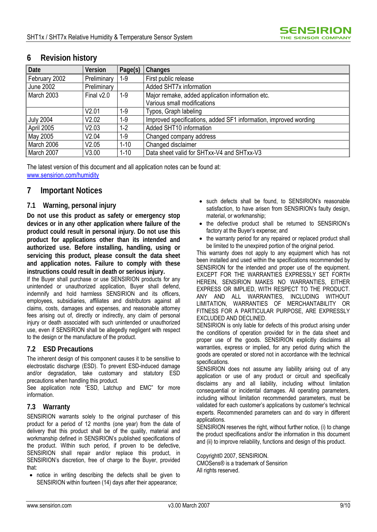| Date             | <b>Version</b> | Page(s)  | Changes                                                          |
|------------------|----------------|----------|------------------------------------------------------------------|
| February 2002    | Preliminary    | $1-9$    | First public release                                             |
| <b>June 2002</b> | Preliminary    |          | Added SHT7x information                                          |
| March 2003       | Final $v2.0$   | $1 - 9$  | Major remake, added application information etc.                 |
|                  |                |          | Various small modifications                                      |
|                  | V2.01          | $1 - 9$  | Typos, Graph labeling                                            |
| <b>July 2004</b> | V2.02          | $1 - 9$  | Improved specifications, added SF1 information, improved wording |
| April 2005       | V2.03          | $1 - 2$  | Added SHT10 information                                          |
| May 2005         | V2.04          | $1 - 9$  | Changed company address                                          |
| March 2006       | V2.05          | $1 - 10$ | Changed disclaimer                                               |
| March 2007       | V3.00          | $1 - 10$ | Data sheet valid for SHTxx-V4 and SHTxx-V3                       |

# **6 Revision history**

The latest version of this document and all application notes can be found at: www.sensirion.com/humidity

# **7 Important Notices**

### **7.1 Warning, personal injury**

**Do not use this product as safety or emergency stop devices or in any other application where failure of the product could result in personal injury. Do not use this product for applications other than its intended and authorized use. Before installing, handling, using or servicing this product, please consult the data sheet and application notes. Failure to comply with these instructions could result in death or serious injury.**

If the Buyer shall purchase or use SENSIRION products for any unintended or unauthorized application, Buyer shall defend, indemnify and hold harmless SENSIRION and its officers, employees, subsidiaries, affiliates and distributors against all claims, costs, damages and expenses, and reasonable attorney fees arising out of, directly or indirectly, any claim of personal injury or death associated with such unintended or unauthorized use, even if SENSIRION shall be allegedly negligent with respect to the design or the manufacture of the product.

### **7.2 ESD Precautions**

The inherent design of this component causes it to be sensitive to electrostatic discharge (ESD). To prevent ESD-induced damage and/or degradation, take customary and statutory ESD precautions when handling this product.

See application note "ESD, Latchup and EMC" for more information.

### **7.3 Warranty**

SENSIRION warrants solely to the original purchaser of this product for a period of 12 months (one year) from the date of delivery that this product shall be of the quality, material and workmanship defined in SENSIRION's published specifications of the product. Within such period, if proven to be defective, SENSIRION shall repair and/or replace this product, in SENSIRION's discretion, free of charge to the Buyer, provided that:

• notice in writing describing the defects shall be given to SENSIRION within fourteen (14) days after their appearance;

- such defects shall be found, to SENSIRION's reasonable satisfaction, to have arisen from SENSIRION's faulty design, material, or workmanship;
- the defective product shall be returned to SENSIRION's factory at the Buyer's expense; and
- the warranty period for any repaired or replaced product shall be limited to the unexpired portion of the original period.

This warranty does not apply to any equipment which has not been installed and used within the specifications recommended by SENSIRION for the intended and proper use of the equipment. EXCEPT FOR THE WARRANTIES EXPRESSLY SET FORTH HEREIN, SENSIRION MAKES NO WARRANTIES, EITHER EXPRESS OR IMPLIED, WITH RESPECT TO THE PRODUCT. ANY AND ALL WARRANTIES, INCLUDING WITHOUT LIMITATION, WARRANTIES OF MERCHANTABILITY OR FITNESS FOR A PARTICULAR PURPOSE, ARE EXPRESSLY EXCLUDED AND DECLINED.

SENSIRION is only liable for defects of this product arising under the conditions of operation provided for in the data sheet and proper use of the goods. SENSIRION explicitly disclaims all warranties, express or implied, for any period during which the goods are operated or stored not in accordance with the technical specifications.

SENSIRION does not assume any liability arising out of any application or use of any product or circuit and specifically disclaims any and all liability, including without limitation consequential or incidental damages. All operating parameters, including without limitation recommended parameters, must be validated for each customer's applications by customer's technical experts. Recommended parameters can and do vary in different applications.

SENSIRION reserves the right, without further notice, (i) to change the product specifications and/or the information in this document and (ii) to improve reliability, functions and design of this product.

Copyright© 2007, SENSIRION.

CMOSens® is a trademark of Sensirion All rights reserved.